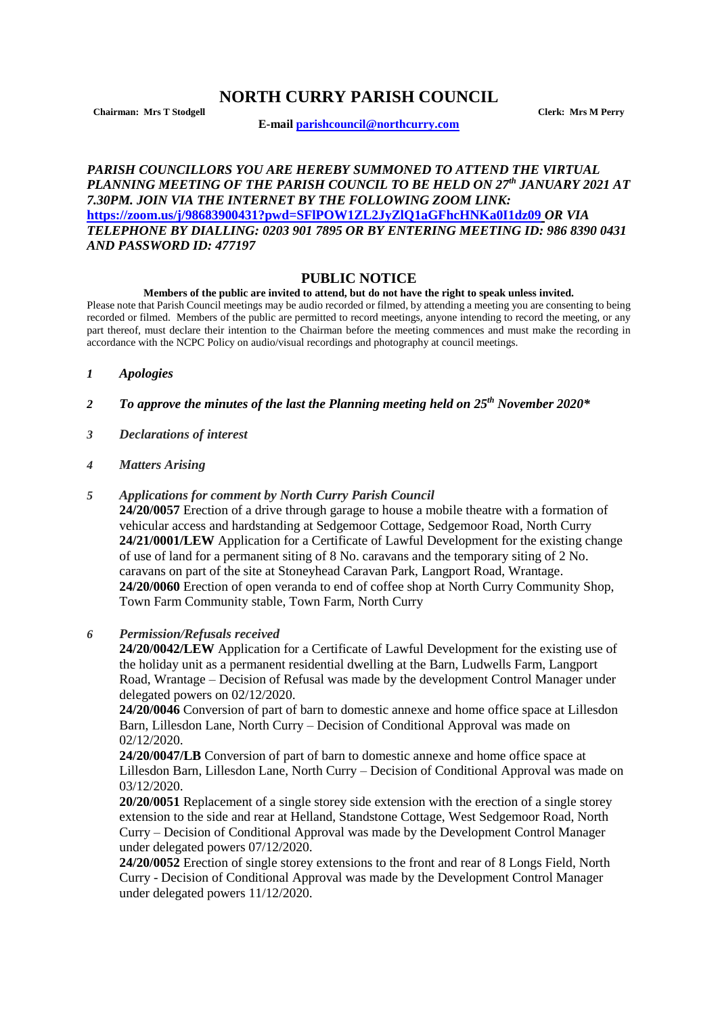## **NORTH CURRY PARISH COUNCIL**

**Chairman: Mrs T Stodgell Clerk: Mrs M Perry**

**E-mail [parishcouncil@northcurry.com](mailto:parishcouncil@northcurry.com)**

## *PARISH COUNCILLORS YOU ARE HEREBY SUMMONED TO ATTEND THE VIRTUAL PLANNING MEETING OF THE PARISH COUNCIL TO BE HELD ON 27th JANUARY 2021 AT 7.30PM. JOIN VIA THE INTERNET BY THE FOLLOWING ZOOM LINK:* **<https://zoom.us/j/98683900431?pwd=SFlPOW1ZL2JyZlQ1aGFhcHNKa0I1dz09>** *OR VIA TELEPHONE BY DIALLING: 0203 901 7895 OR BY ENTERING MEETING ID: 986 8390 0431 AND PASSWORD ID: 477197*

## **PUBLIC NOTICE**

**Members of the public are invited to attend, but do not have the right to speak unless invited.** Please note that Parish Council meetings may be audio recorded or filmed, by attending a meeting you are consenting to being recorded or filmed. Members of the public are permitted to record meetings, anyone intending to record the meeting, or any part thereof, must declare their intention to the Chairman before the meeting commences and must make the recording in accordance with the NCPC Policy on audio/visual recordings and photography at council meetings.

- *1 Apologies*
- *2 To approve the minutes of the last the Planning meeting held on 25th November 2020\**
- *3 Declarations of interest*
- *4 Matters Arising*
- *5 Applications for comment by North Curry Parish Council*

**24/20/0057** Erection of a drive through garage to house a mobile theatre with a formation of vehicular access and hardstanding at Sedgemoor Cottage, Sedgemoor Road, North Curry **24/21/0001/LEW** Application for a Certificate of Lawful Development for the existing change of use of land for a permanent siting of 8 No. caravans and the temporary siting of 2 No. caravans on part of the site at Stoneyhead Caravan Park, Langport Road, Wrantage. **24/20/0060** Erection of open veranda to end of coffee shop at North Curry Community Shop, Town Farm Community stable, Town Farm, North Curry

*6 Permission/Refusals received*

**24/20/0042/LEW** Application for a Certificate of Lawful Development for the existing use of the holiday unit as a permanent residential dwelling at the Barn, Ludwells Farm, Langport Road, Wrantage – Decision of Refusal was made by the development Control Manager under delegated powers on 02/12/2020.

**24/20/0046** Conversion of part of barn to domestic annexe and home office space at Lillesdon Barn, Lillesdon Lane, North Curry – Decision of Conditional Approval was made on 02/12/2020.

**24/20/0047/LB** Conversion of part of barn to domestic annexe and home office space at Lillesdon Barn, Lillesdon Lane, North Curry – Decision of Conditional Approval was made on 03/12/2020.

**20/20/0051** Replacement of a single storey side extension with the erection of a single storey extension to the side and rear at Helland, Standstone Cottage, West Sedgemoor Road, North Curry – Decision of Conditional Approval was made by the Development Control Manager under delegated powers 07/12/2020.

**24/20/0052** Erection of single storey extensions to the front and rear of 8 Longs Field, North Curry - Decision of Conditional Approval was made by the Development Control Manager under delegated powers 11/12/2020.